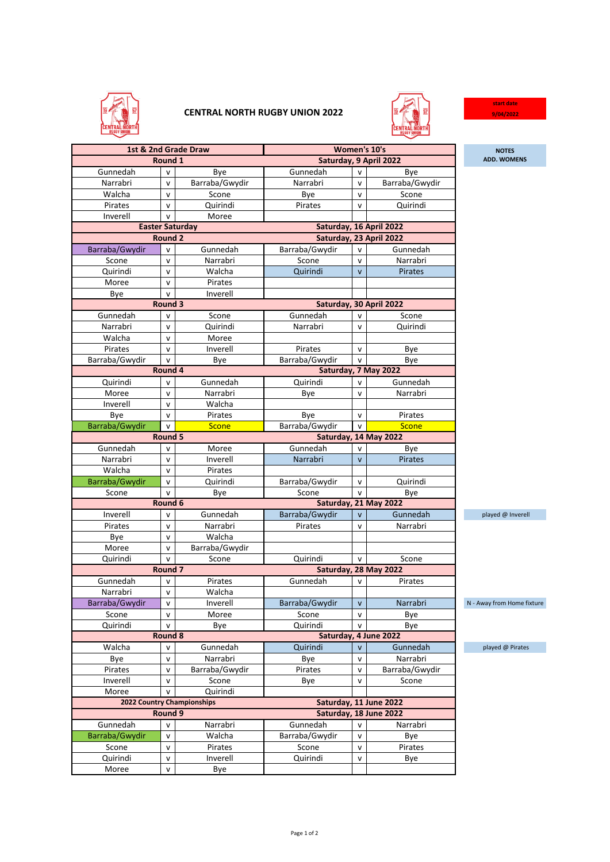

## **CENTRAL NORTH RUGBY UNION 2022**



**start date 9/04/2022**

| 1st & 2nd Grade Draw   |                    |                            | Women's 10's            |                         |                        | <b>NOTES</b>               |  |
|------------------------|--------------------|----------------------------|-------------------------|-------------------------|------------------------|----------------------------|--|
| Round 1                |                    |                            | Saturday, 9 April 2022  | <b>ADD. WOMENS</b>      |                        |                            |  |
| Gunnedah               | $\mathsf{v}$       | Bye                        | Gunnedah                | $\mathsf{v}$            | Bye                    |                            |  |
| Narrabri               | v                  | Barraba/Gwydir             | Narrabri                | $\mathsf{v}$            | Barraba/Gwydir         |                            |  |
| Walcha                 | $\mathsf{v}$       | Scone                      | Bye                     | $\mathsf{v}$            | Scone                  |                            |  |
| Pirates                | V                  | Quirindi                   | Pirates                 | $\mathsf{v}$            | Quirindi               |                            |  |
| Inverell               | $\mathsf{v}$       | Moree                      |                         |                         |                        |                            |  |
| <b>Easter Saturday</b> |                    |                            |                         | Saturday, 16 April 2022 |                        |                            |  |
| Round 2                |                    |                            |                         | Saturday, 23 April 2022 |                        |                            |  |
| Barraba/Gwydir         | V                  | Gunnedah                   | Barraba/Gwydir          | $\mathsf{v}$            | Gunnedah               |                            |  |
| Scone                  | $\mathsf{v}$       | Narrabri                   | Scone                   | v                       | Narrabri               |                            |  |
| Quirindi               | $\mathsf{v}$       | Walcha                     | Quirindi                | $\mathsf{v}$            | Pirates                |                            |  |
| Moree                  | $\mathsf{v}$       | Pirates                    |                         |                         |                        |                            |  |
| Bye                    | v                  | Inverell                   |                         |                         |                        |                            |  |
|                        | Round 3            |                            | Saturday, 30 April 2022 |                         |                        |                            |  |
| Gunnedah               | V                  | Scone                      | Gunnedah                | $\mathsf{v}$            | Scone                  |                            |  |
| Narrabri               | $\mathsf{v}$       | Quirindi                   | Narrabri                | $\mathsf{v}$            | Quirindi               |                            |  |
| Walcha                 | $\mathsf{v}$       | Moree                      |                         |                         |                        |                            |  |
| Pirates                | v                  | Inverell                   | Pirates                 | $\mathsf{v}$            | Bye                    |                            |  |
| Barraba/Gwydir         | $\mathsf{v}$       | Bye                        | Barraba/Gwydir          | $\mathsf{v}$            | Bye                    |                            |  |
|                        | Round 4            | Saturday, 7 May 2022       |                         |                         |                        |                            |  |
| Quirindi               | $\mathsf{v}$       | Gunnedah                   | Quirindi                | $\mathsf{v}$            | Gunnedah               |                            |  |
| Moree                  | $\mathsf{v}$       | Narrabri                   | Bye                     | $\mathsf{v}$            | Narrabri               |                            |  |
| Inverell               | $\mathsf{v}$       | Walcha                     |                         |                         |                        |                            |  |
| Bye                    | $\mathsf{v}$       | Pirates                    | Bye                     | $\mathsf{v}$            | Pirates                |                            |  |
| Barraba/Gwydir         | $\mathsf{v}$       | <b>Scone</b>               | Barraba/Gwydir          | $\mathsf{v}$            | Scone                  |                            |  |
|                        | <b>Round 5</b>     |                            |                         |                         | Saturday, 14 May 2022  |                            |  |
| Gunnedah               | V                  | Moree                      | Gunnedah                | $\mathsf{v}$            | Bye                    |                            |  |
| Narrabri               | $\mathsf{v}$       | Inverell                   | Narrabri                | $\mathsf{v}$            | <b>Pirates</b>         |                            |  |
| Walcha                 | $\mathsf{v}$       | Pirates                    |                         |                         |                        |                            |  |
| Barraba/Gwydir         | v                  | Quirindi                   | Barraba/Gwydir          | V                       | Quirindi               |                            |  |
| Scone                  | $\mathsf{v}$       | Bye                        | Scone                   | $\mathsf{v}$            | Bye                    |                            |  |
| Round 6                |                    |                            | Saturday, 21 May 2022   |                         |                        |                            |  |
| Inverell               | $\mathsf{v}$       | Gunnedah                   | Barraba/Gwydir          | $\mathsf{v}$            | Gunnedah               | played @ Inverell          |  |
| Pirates                | $\mathsf{v}$       | Narrabri                   | Pirates                 | $\mathsf{v}$            | Narrabri               |                            |  |
| Bye                    | v                  | Walcha                     |                         |                         |                        |                            |  |
| Moree                  | $\mathsf{v}$       | Barraba/Gwydir             |                         |                         |                        |                            |  |
| Quirindi               | v                  | Scone                      | Quirindi                | $\mathsf{v}$            | Scone                  |                            |  |
|                        | Round <sub>7</sub> |                            |                         |                         | Saturday, 28 May 2022  |                            |  |
| Gunnedah               | V                  | Pirates                    | Gunnedah                | $\mathsf{v}$            | Pirates                |                            |  |
| Narrabri               | v                  | Walcha                     |                         |                         |                        |                            |  |
| Barraba/Gwydir         | v                  | Inverell                   | Barraba/Gwydir          | V                       | Narrabri               | N - Away from Home fixture |  |
| Scone                  | $\mathsf{v}$       | Moree                      | Scone                   | v                       | Bye                    |                            |  |
| Quirindi               | v                  | Bye                        | Quirindi                | v                       | Bye                    |                            |  |
|                        | Round 8            | Saturday, 4 June 2022      |                         |                         |                        |                            |  |
| Walcha                 | v                  | Gunnedah                   | Quirindi                | $\mathsf{v}$            | Gunnedah               | played @ Pirates           |  |
| Bye                    | $\mathsf{v}$       | Narrabri                   | Bye                     | V                       | Narrabri               |                            |  |
| Pirates                | $\mathsf{v}$       | Barraba/Gwydir             | Pirates                 | v                       | Barraba/Gwydir         |                            |  |
| Inverell               | v                  | Scone                      | Bye                     | $\mathsf{v}$            | Scone                  |                            |  |
| Moree                  | $\mathsf{v}$       | Quirindi                   |                         |                         |                        |                            |  |
|                        |                    | 2022 Country Championships |                         |                         | Saturday, 11 June 2022 |                            |  |
|                        | Round 9            |                            |                         |                         | Saturday, 18 June 2022 |                            |  |
| Gunnedah               | $\mathsf{v}$       | Narrabri                   | Gunnedah                | $\mathsf{v}$            | Narrabri               |                            |  |
| Barraba/Gwydir         | $\mathsf{v}$       | Walcha                     | Barraba/Gwydir          | $\mathsf{v}$            | Bye                    |                            |  |
| Scone                  | $\mathsf{v}$       | Pirates                    | Scone                   | $\mathsf{v}$            | Pirates                |                            |  |
| Quirindi               | V                  | Inverell                   | Quirindi                | v                       | Bye                    |                            |  |
| Moree                  | $\mathsf{v}$       | Bye                        |                         |                         |                        |                            |  |
|                        |                    |                            |                         |                         |                        |                            |  |